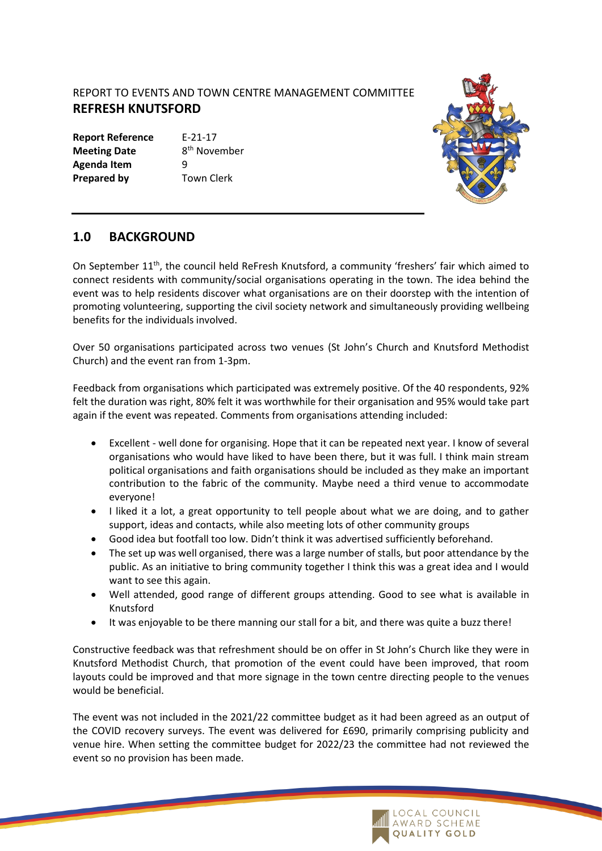## REPORT TO EVENTS AND TOWN CENTRE MANAGEMENT COMMITTEE **REFRESH KNUTSFORD**

**Report Reference** E-21-17 **Meeting Date Agenda Item** 9 **Prepared by Town Clerk** 

8<sup>th</sup> November



## **1.0 BACKGROUND**

On September 11<sup>th</sup>, the council held ReFresh Knutsford, a community 'freshers' fair which aimed to connect residents with community/social organisations operating in the town. The idea behind the event was to help residents discover what organisations are on their doorstep with the intention of promoting volunteering, supporting the civil society network and simultaneously providing wellbeing benefits for the individuals involved.

Over 50 organisations participated across two venues (St John's Church and Knutsford Methodist Church) and the event ran from 1-3pm.

Feedback from organisations which participated was extremely positive. Of the 40 respondents, 92% felt the duration was right, 80% felt it was worthwhile for their organisation and 95% would take part again if the event was repeated. Comments from organisations attending included:

- Excellent well done for organising. Hope that it can be repeated next year. I know of several organisations who would have liked to have been there, but it was full. I think main stream political organisations and faith organisations should be included as they make an important contribution to the fabric of the community. Maybe need a third venue to accommodate everyone!
- I liked it a lot, a great opportunity to tell people about what we are doing, and to gather support, ideas and contacts, while also meeting lots of other community groups
- Good idea but footfall too low. Didn't think it was advertised sufficiently beforehand.
- The set up was well organised, there was a large number of stalls, but poor attendance by the public. As an initiative to bring community together I think this was a great idea and I would want to see this again.
- Well attended, good range of different groups attending. Good to see what is available in Knutsford
- It was enjoyable to be there manning our stall for a bit, and there was quite a buzz there!

Constructive feedback was that refreshment should be on offer in St John's Church like they were in Knutsford Methodist Church, that promotion of the event could have been improved, that room layouts could be improved and that more signage in the town centre directing people to the venues would be beneficial.

The event was not included in the 2021/22 committee budget as it had been agreed as an output of the COVID recovery surveys. The event was delivered for £690, primarily comprising publicity and venue hire. When setting the committee budget for 2022/23 the committee had not reviewed the event so no provision has been made.